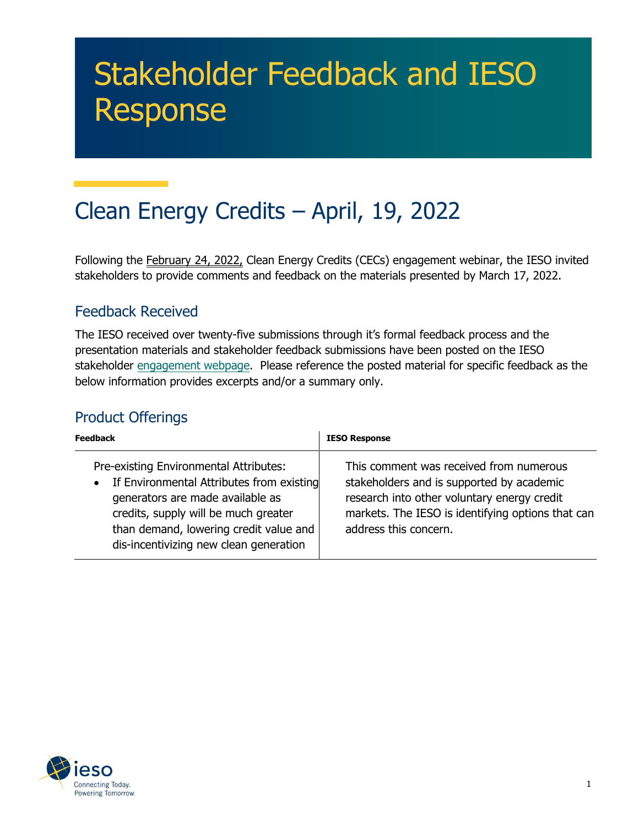# Stakeholder Feedback and IESO Response

# Clean Energy Credits – April, 19, 2022

Following the February 24, 2022, Clean Energy Credits (CECs) engagement webinar, the IESO invited stakeholders to provide comments and feedback on the materials presented by March 17, 2022.

#### Feedback Received

The IESO received over twenty-five submissions through it's formal feedback process and the presentation materials and stakeholder feedback submissions have been posted on the IESO stakeholder [engagement](https://www.ieso.ca/en/Sector-Participants/Engagement-Initiatives/Engagements/Clean-Energy-Credits) webpage. Please reference the posted material for specific feedback as the below information provides excerpts and/or a summary only.

#### Product Offerings

| <b>Feedback</b>                                                                                                                                                                                                                                       | <b>IESO Response</b>                                                                                                                                                                                              |
|-------------------------------------------------------------------------------------------------------------------------------------------------------------------------------------------------------------------------------------------------------|-------------------------------------------------------------------------------------------------------------------------------------------------------------------------------------------------------------------|
| Pre-existing Environmental Attributes:<br>• If Environmental Attributes from existing<br>generators are made available as<br>credits, supply will be much greater<br>than demand, lowering credit value and<br>dis-incentivizing new clean generation | This comment was received from numerous<br>stakeholders and is supported by academic<br>research into other voluntary energy credit<br>markets. The IESO is identifying options that can<br>address this concern. |

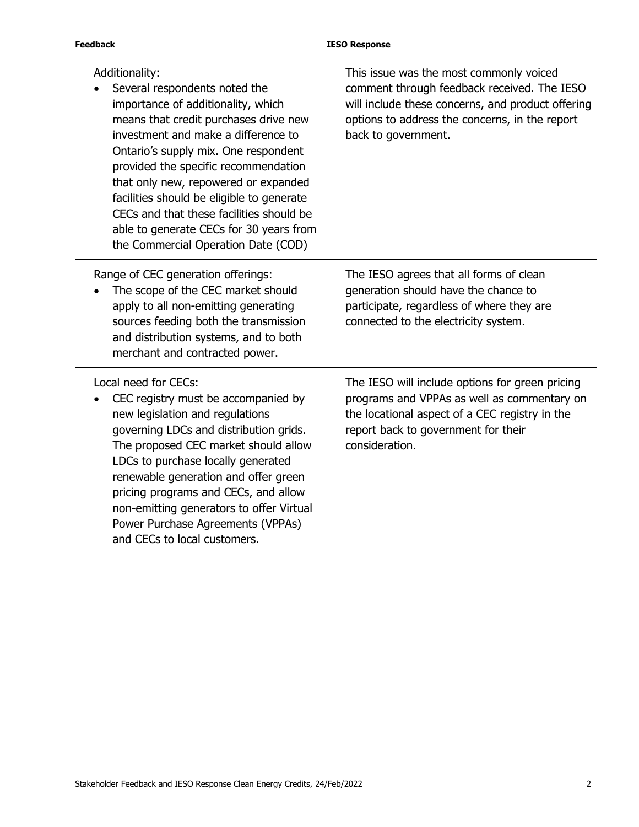| <b>Feedback</b>                                                                                                                                                                                                                                                                                                                                                                                                                                                          | <b>IESO Response</b>                                                                                                                                                                                                 |
|--------------------------------------------------------------------------------------------------------------------------------------------------------------------------------------------------------------------------------------------------------------------------------------------------------------------------------------------------------------------------------------------------------------------------------------------------------------------------|----------------------------------------------------------------------------------------------------------------------------------------------------------------------------------------------------------------------|
| Additionality:<br>Several respondents noted the<br>importance of additionality, which<br>means that credit purchases drive new<br>investment and make a difference to<br>Ontario's supply mix. One respondent<br>provided the specific recommendation<br>that only new, repowered or expanded<br>facilities should be eligible to generate<br>CECs and that these facilities should be<br>able to generate CECs for 30 years from<br>the Commercial Operation Date (COD) | This issue was the most commonly voiced<br>comment through feedback received. The IESO<br>will include these concerns, and product offering<br>options to address the concerns, in the report<br>back to government. |
| Range of CEC generation offerings:<br>The scope of the CEC market should<br>apply to all non-emitting generating<br>sources feeding both the transmission<br>and distribution systems, and to both<br>merchant and contracted power.                                                                                                                                                                                                                                     | The IESO agrees that all forms of clean<br>generation should have the chance to<br>participate, regardless of where they are<br>connected to the electricity system.                                                 |
| Local need for CECs:<br>CEC registry must be accompanied by<br>new legislation and regulations<br>governing LDCs and distribution grids.<br>The proposed CEC market should allow<br>LDCs to purchase locally generated<br>renewable generation and offer green<br>pricing programs and CECs, and allow<br>non-emitting generators to offer Virtual<br>Power Purchase Agreements (VPPAs)<br>and CECs to local customers.                                                  | The IESO will include options for green pricing<br>programs and VPPAs as well as commentary on<br>the locational aspect of a CEC registry in the<br>report back to government for their<br>consideration.            |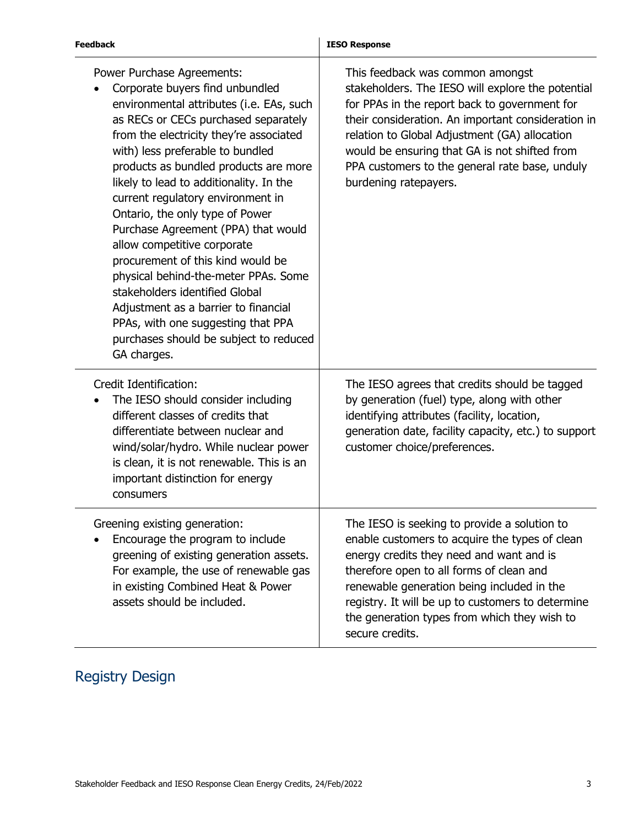| <b>Feedback</b>                                                                                                                                                                                                                                                                                                                                                                                                                                                                                                                                                                                                                                                                                                          | <b>IESO Response</b>                                                                                                                                                                                                                                                                                                                                                      |
|--------------------------------------------------------------------------------------------------------------------------------------------------------------------------------------------------------------------------------------------------------------------------------------------------------------------------------------------------------------------------------------------------------------------------------------------------------------------------------------------------------------------------------------------------------------------------------------------------------------------------------------------------------------------------------------------------------------------------|---------------------------------------------------------------------------------------------------------------------------------------------------------------------------------------------------------------------------------------------------------------------------------------------------------------------------------------------------------------------------|
| Power Purchase Agreements:<br>Corporate buyers find unbundled<br>environmental attributes (i.e. EAs, such<br>as RECs or CECs purchased separately<br>from the electricity they're associated<br>with) less preferable to bundled<br>products as bundled products are more<br>likely to lead to additionality. In the<br>current regulatory environment in<br>Ontario, the only type of Power<br>Purchase Agreement (PPA) that would<br>allow competitive corporate<br>procurement of this kind would be<br>physical behind-the-meter PPAs. Some<br>stakeholders identified Global<br>Adjustment as a barrier to financial<br>PPAs, with one suggesting that PPA<br>purchases should be subject to reduced<br>GA charges. | This feedback was common amongst<br>stakeholders. The IESO will explore the potential<br>for PPAs in the report back to government for<br>their consideration. An important consideration in<br>relation to Global Adjustment (GA) allocation<br>would be ensuring that GA is not shifted from<br>PPA customers to the general rate base, unduly<br>burdening ratepayers. |
| Credit Identification:<br>The IESO should consider including<br>different classes of credits that<br>differentiate between nuclear and<br>wind/solar/hydro. While nuclear power<br>is clean, it is not renewable. This is an<br>important distinction for energy<br>consumers                                                                                                                                                                                                                                                                                                                                                                                                                                            | The IESO agrees that credits should be tagged<br>by generation (fuel) type, along with other<br>identifying attributes (facility, location,<br>generation date, facility capacity, etc.) to support<br>customer choice/preferences.                                                                                                                                       |
| Greening existing generation:<br>Encourage the program to include<br>greening of existing generation assets.<br>For example, the use of renewable gas<br>in existing Combined Heat & Power<br>assets should be included.                                                                                                                                                                                                                                                                                                                                                                                                                                                                                                 | The IESO is seeking to provide a solution to<br>enable customers to acquire the types of clean<br>energy credits they need and want and is<br>therefore open to all forms of clean and<br>renewable generation being included in the<br>registry. It will be up to customers to determine<br>the generation types from which they wish to<br>secure credits.              |

## Registry Design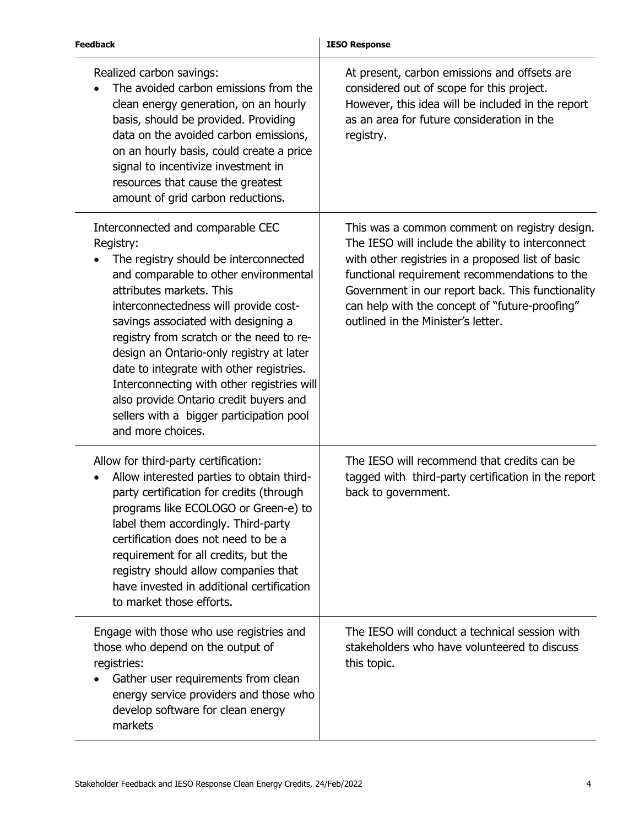| <b>Feedback</b>                                                                                                                                                                                                                                                                                                                                                                                                                                                                                                                           | <b>IESO Response</b>                                                                                                                                                                                                                                                                                                                                  |
|-------------------------------------------------------------------------------------------------------------------------------------------------------------------------------------------------------------------------------------------------------------------------------------------------------------------------------------------------------------------------------------------------------------------------------------------------------------------------------------------------------------------------------------------|-------------------------------------------------------------------------------------------------------------------------------------------------------------------------------------------------------------------------------------------------------------------------------------------------------------------------------------------------------|
| Realized carbon savings:<br>The avoided carbon emissions from the<br>clean energy generation, on an hourly<br>basis, should be provided. Providing<br>data on the avoided carbon emissions,<br>on an hourly basis, could create a price<br>signal to incentivize investment in<br>resources that cause the greatest<br>amount of grid carbon reductions.                                                                                                                                                                                  | At present, carbon emissions and offsets are<br>considered out of scope for this project.<br>However, this idea will be included in the report<br>as an area for future consideration in the<br>registry.                                                                                                                                             |
| Interconnected and comparable CEC<br>Registry:<br>The registry should be interconnected<br>and comparable to other environmental<br>attributes markets. This<br>interconnectedness will provide cost-<br>savings associated with designing a<br>registry from scratch or the need to re-<br>design an Ontario-only registry at later<br>date to integrate with other registries.<br>Interconnecting with other registries will<br>also provide Ontario credit buyers and<br>sellers with a bigger participation pool<br>and more choices. | This was a common comment on registry design.<br>The IESO will include the ability to interconnect<br>with other registries in a proposed list of basic<br>functional requirement recommendations to the<br>Government in our report back. This functionality<br>can help with the concept of "future-proofing"<br>outlined in the Minister's letter. |
| Allow for third-party certification:<br>Allow interested parties to obtain third-<br>party certification for credits (through<br>programs like ECOLOGO or Green-e) to<br>label them accordingly. Third-party<br>certification does not need to be a<br>requirement for all credits, but the<br>registry should allow companies that<br>have invested in additional certification<br>to market those efforts.                                                                                                                              | The IESO will recommend that credits can be<br>tagged with third-party certification in the report<br>back to government.                                                                                                                                                                                                                             |
| Engage with those who use registries and<br>those who depend on the output of<br>registries:<br>Gather user requirements from clean<br>energy service providers and those who<br>develop software for clean energy<br>markets                                                                                                                                                                                                                                                                                                             | The IESO will conduct a technical session with<br>stakeholders who have volunteered to discuss<br>this topic.                                                                                                                                                                                                                                         |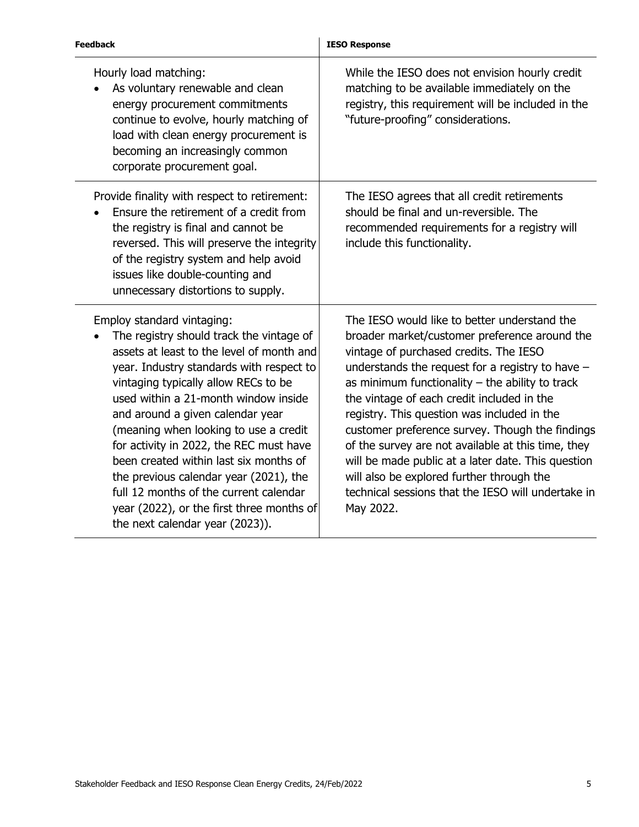| <b>Feedback</b>                                                                                                                                                                                                                                                                                                                                                                                                                                                                                                                                                                       | <b>IESO Response</b>                                                                                                                                                                                                                                                                                                                                                                                                                                                                                                                                                                                                           |
|---------------------------------------------------------------------------------------------------------------------------------------------------------------------------------------------------------------------------------------------------------------------------------------------------------------------------------------------------------------------------------------------------------------------------------------------------------------------------------------------------------------------------------------------------------------------------------------|--------------------------------------------------------------------------------------------------------------------------------------------------------------------------------------------------------------------------------------------------------------------------------------------------------------------------------------------------------------------------------------------------------------------------------------------------------------------------------------------------------------------------------------------------------------------------------------------------------------------------------|
| Hourly load matching:<br>As voluntary renewable and clean<br>energy procurement commitments<br>continue to evolve, hourly matching of<br>load with clean energy procurement is<br>becoming an increasingly common<br>corporate procurement goal.                                                                                                                                                                                                                                                                                                                                      | While the IESO does not envision hourly credit<br>matching to be available immediately on the<br>registry, this requirement will be included in the<br>"future-proofing" considerations.                                                                                                                                                                                                                                                                                                                                                                                                                                       |
| Provide finality with respect to retirement:<br>Ensure the retirement of a credit from<br>the registry is final and cannot be<br>reversed. This will preserve the integrity<br>of the registry system and help avoid<br>issues like double-counting and<br>unnecessary distortions to supply.                                                                                                                                                                                                                                                                                         | The IESO agrees that all credit retirements<br>should be final and un-reversible. The<br>recommended requirements for a registry will<br>include this functionality.                                                                                                                                                                                                                                                                                                                                                                                                                                                           |
| Employ standard vintaging:<br>The registry should track the vintage of<br>assets at least to the level of month and<br>year. Industry standards with respect to<br>vintaging typically allow RECs to be<br>used within a 21-month window inside<br>and around a given calendar year<br>(meaning when looking to use a credit<br>for activity in 2022, the REC must have<br>been created within last six months of<br>the previous calendar year (2021), the<br>full 12 months of the current calendar<br>year (2022), or the first three months of<br>the next calendar year (2023)). | The IESO would like to better understand the<br>broader market/customer preference around the<br>vintage of purchased credits. The IESO<br>understands the request for a registry to have $-$<br>as minimum functionality $-$ the ability to track<br>the vintage of each credit included in the<br>registry. This question was included in the<br>customer preference survey. Though the findings<br>of the survey are not available at this time, they<br>will be made public at a later date. This question<br>will also be explored further through the<br>technical sessions that the IESO will undertake in<br>May 2022. |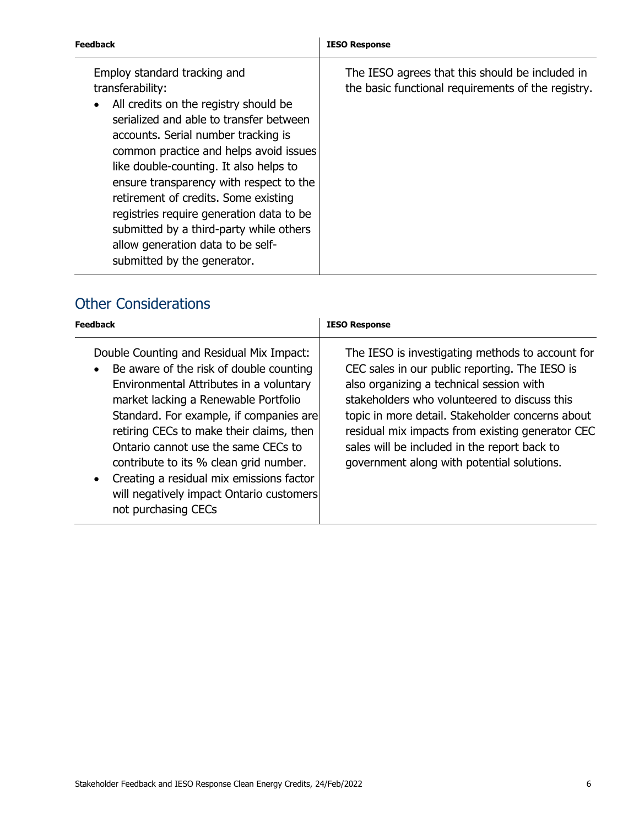| Employ standard tracking and<br>transferability:<br>All credits on the registry should be<br>serialized and able to transfer between                                                                                                                                                                                           | Feedback                            | <b>IESO Response</b>                                                                                  |
|--------------------------------------------------------------------------------------------------------------------------------------------------------------------------------------------------------------------------------------------------------------------------------------------------------------------------------|-------------------------------------|-------------------------------------------------------------------------------------------------------|
| common practice and helps avoid issues<br>like double-counting. It also helps to<br>ensure transparency with respect to the<br>retirement of credits. Some existing<br>registries require generation data to be<br>submitted by a third-party while others<br>allow generation data to be self-<br>submitted by the generator. | accounts. Serial number tracking is | The IESO agrees that this should be included in<br>the basic functional requirements of the registry. |

### Other Considerations

| Feedback                                                                                                                                                                                                                                                                                                                                                                                                                                                      | <b>IESO Response</b>                                                                                                                                                                                                                                                                                                                                                                                 |
|---------------------------------------------------------------------------------------------------------------------------------------------------------------------------------------------------------------------------------------------------------------------------------------------------------------------------------------------------------------------------------------------------------------------------------------------------------------|------------------------------------------------------------------------------------------------------------------------------------------------------------------------------------------------------------------------------------------------------------------------------------------------------------------------------------------------------------------------------------------------------|
| Double Counting and Residual Mix Impact:<br>Be aware of the risk of double counting<br>Environmental Attributes in a voluntary<br>market lacking a Renewable Portfolio<br>Standard. For example, if companies are<br>retiring CECs to make their claims, then<br>Ontario cannot use the same CECs to<br>contribute to its % clean grid number.<br>Creating a residual mix emissions factor<br>will negatively impact Ontario customers<br>not purchasing CECs | The IESO is investigating methods to account for<br>CEC sales in our public reporting. The IESO is<br>also organizing a technical session with<br>stakeholders who volunteered to discuss this<br>topic in more detail. Stakeholder concerns about<br>residual mix impacts from existing generator CEC<br>sales will be included in the report back to<br>government along with potential solutions. |